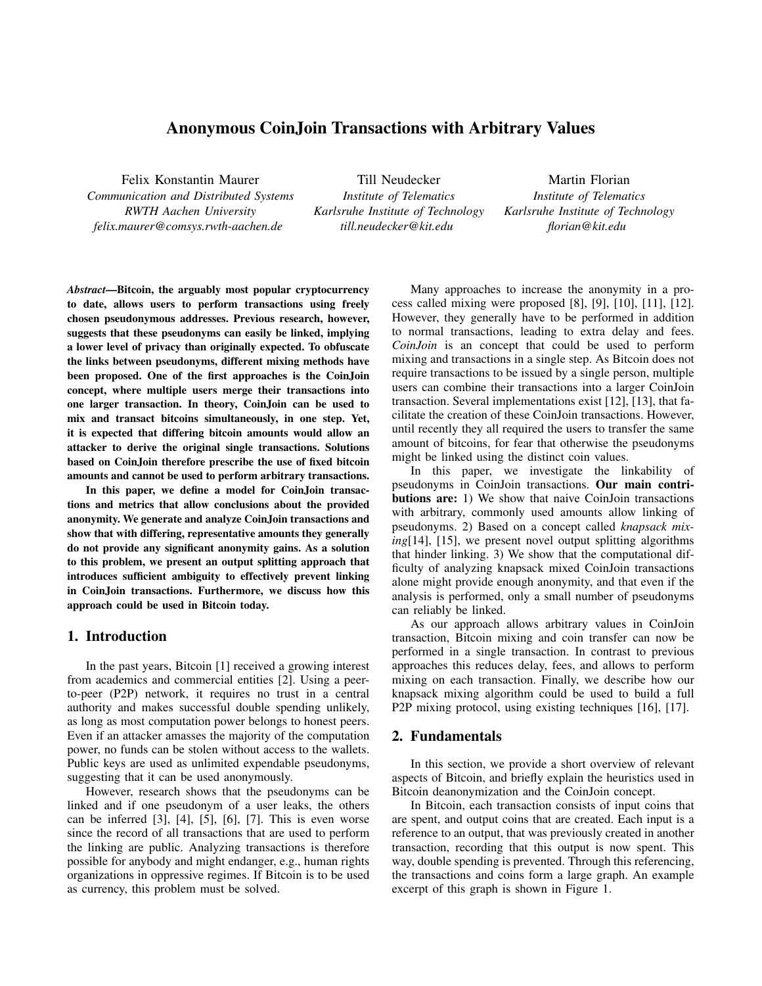# Anonymous CoinJoin Transactions with Arbitrary Values

Felix Konstantin Maurer *Communication and Distributed Systems RWTH Aachen University*

*felix.maurer@comsys.rwth-aachen.de*

Till Neudecker *Institute of Telematics Karlsruhe Institute of Technology till.neudecker@kit.edu*

Martin Florian *Institute of Telematics Karlsruhe Institute of Technology florian@kit.edu*

*Abstract*—Bitcoin, the arguably most popular cryptocurrency to date, allows users to perform transactions using freely chosen pseudonymous addresses. Previous research, however, suggests that these pseudonyms can easily be linked, implying a lower level of privacy than originally expected. To obfuscate the links between pseudonyms, different mixing methods have been proposed. One of the first approaches is the CoinJoin concept, where multiple users merge their transactions into one larger transaction. In theory, CoinJoin can be used to mix and transact bitcoins simultaneously, in one step. Yet, it is expected that differing bitcoin amounts would allow an attacker to derive the original single transactions. Solutions based on CoinJoin therefore prescribe the use of fixed bitcoin amounts and cannot be used to perform arbitrary transactions.

In this paper, we define a model for CoinJoin transactions and metrics that allow conclusions about the provided anonymity. We generate and analyze CoinJoin transactions and show that with differing, representative amounts they generally do not provide any significant anonymity gains. As a solution to this problem, we present an output splitting approach that introduces sufficient ambiguity to effectively prevent linking in CoinJoin transactions. Furthermore, we discuss how this approach could be used in Bitcoin today.

## 1. Introduction

In the past years, Bitcoin [1] received a growing interest from academics and commercial entities [2]. Using a peerto-peer (P2P) network, it requires no trust in a central authority and makes successful double spending unlikely, as long as most computation power belongs to honest peers. Even if an attacker amasses the majority of the computation power, no funds can be stolen without access to the wallets. Public keys are used as unlimited expendable pseudonyms, suggesting that it can be used anonymously.

However, research shows that the pseudonyms can be linked and if one pseudonym of a user leaks, the others can be inferred  $[3]$ ,  $[4]$ ,  $[5]$ ,  $[6]$ ,  $[7]$ . This is even worse since the record of all transactions that are used to perform the linking are public. Analyzing transactions is therefore possible for anybody and might endanger, e.g., human rights organizations in oppressive regimes. If Bitcoin is to be used as currency, this problem must be solved.

Many approaches to increase the anonymity in a process called mixing were proposed [8], [9], [10], [11], [12]. However, they generally have to be performed in addition to normal transactions, leading to extra delay and fees. *CoinJoin* is an concept that could be used to perform mixing and transactions in a single step. As Bitcoin does not require transactions to be issued by a single person, multiple users can combine their transactions into a larger CoinJoin transaction. Several implementations exist [12], [13], that facilitate the creation of these CoinJoin transactions. However, until recently they all required the users to transfer the same amount of bitcoins, for fear that otherwise the pseudonyms might be linked using the distinct coin values.

In this paper, we investigate the linkability of pseudonyms in CoinJoin transactions. Our main contributions are: 1) We show that naive CoinJoin transactions with arbitrary, commonly used amounts allow linking of pseudonyms. 2) Based on a concept called *knapsack mixing*[14], [15], we present novel output splitting algorithms that hinder linking. 3) We show that the computational difficulty of analyzing knapsack mixed CoinJoin transactions alone might provide enough anonymity, and that even if the analysis is performed, only a small number of pseudonyms can reliably be linked.

As our approach allows arbitrary values in CoinJoin transaction, Bitcoin mixing and coin transfer can now be performed in a single transaction. In contrast to previous approaches this reduces delay, fees, and allows to perform mixing on each transaction. Finally, we describe how our knapsack mixing algorithm could be used to build a full P2P mixing protocol, using existing techniques [16], [17].

## 2. Fundamentals

In this section, we provide a short overview of relevant aspects of Bitcoin, and briefly explain the heuristics used in Bitcoin deanonymization and the CoinJoin concept.

In Bitcoin, each transaction consists of input coins that are spent, and output coins that are created. Each input is a reference to an output, that was previously created in another transaction, recording that this output is now spent. This way, double spending is prevented. Through this referencing, the transactions and coins form a large graph. An example excerpt of this graph is shown in Figure 1.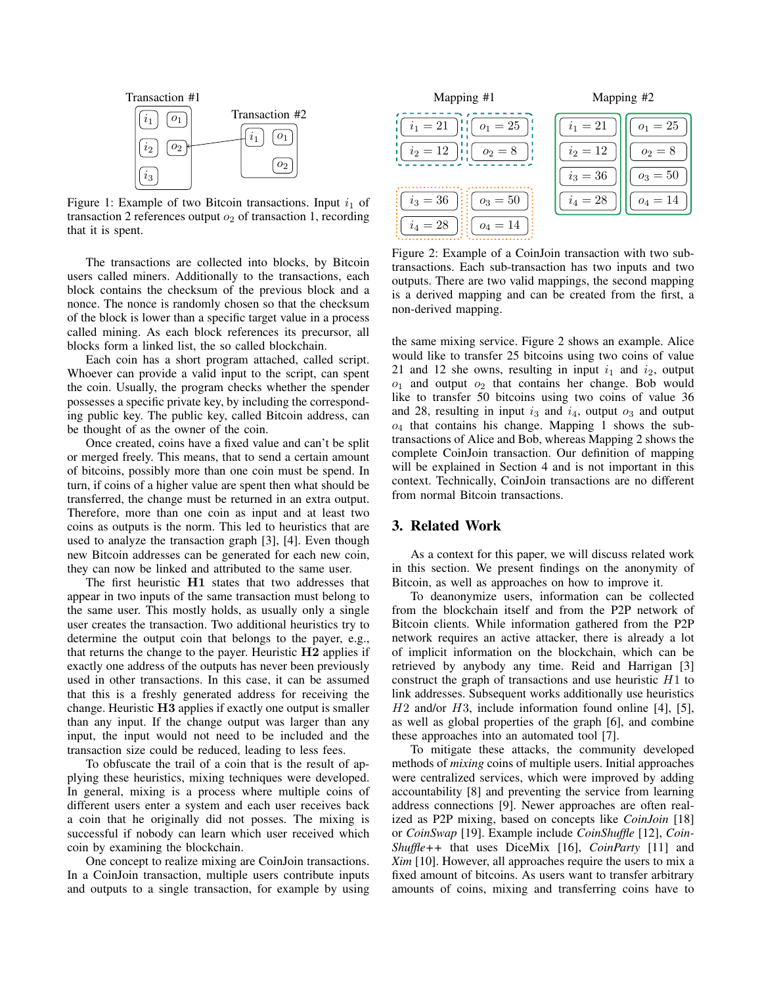

Figure 1: Example of two Bitcoin transactions. Input  $i_1$  of transaction 2 references output  $o_2$  of transaction 1, recording that it is spent.

The transactions are collected into blocks, by Bitcoin users called miners. Additionally to the transactions, each block contains the checksum of the previous block and a nonce. The nonce is randomly chosen so that the checksum of the block is lower than a specific target value in a process called mining. As each block references its precursor, all blocks form a linked list, the so called blockchain.

Each coin has a short program attached, called script. Whoever can provide a valid input to the script, can spent the coin. Usually, the program checks whether the spender possesses a specific private key, by including the corresponding public key. The public key, called Bitcoin address, can be thought of as the owner of the coin.

Once created, coins have a fixed value and can't be split or merged freely. This means, that to send a certain amount of bitcoins, possibly more than one coin must be spend. In turn, if coins of a higher value are spent then what should be transferred, the change must be returned in an extra output. Therefore, more than one coin as input and at least two coins as outputs is the norm. This led to heuristics that are used to analyze the transaction graph [3], [4]. Even though new Bitcoin addresses can be generated for each new coin, they can now be linked and attributed to the same user.

The first heuristic **H1** states that two addresses that appear in two inputs of the same transaction must belong to the same user. This mostly holds, as usually only a single user creates the transaction. Two additional heuristics try to determine the output coin that belongs to the payer, e.g., that returns the change to the payer. Heuristic **H2** applies if exactly one address of the outputs has never been previously used in other transactions. In this case, it can be assumed that this is a freshly generated address for receiving the change. Heuristic **H3** applies if exactly one output is smaller than any input. If the change output was larger than any input, the input would not need to be included and the transaction size could be reduced, leading to less fees.

To obfuscate the trail of a coin that is the result of applying these heuristics, mixing techniques were developed. In general, mixing is a process where multiple coins of different users enter a system and each user receives back a coin that he originally did not posses. The mixing is successful if nobody can learn which user received which coin by examining the blockchain.

One concept to realize mixing are CoinJoin transactions. In a CoinJoin transaction, multiple users contribute inputs and outputs to a single transaction, for example by using



Figure 2: Example of a CoinJoin transaction with two subtransactions. Each sub-transaction has two inputs and two outputs. There are two valid mappings, the second mapping is a derived mapping and can be created from the first, a non-derived mapping.

the same mixing service. Figure 2 shows an example. Alice would like to transfer 25 bitcoins using two coins of value 21 and 12 she owns, resulting in input  $i_1$  and  $i_2$ , output *o*<sup>1</sup> and output *o*<sup>2</sup> that contains her change. Bob would like to transfer 50 bitcoins using two coins of value 36 and 28, resulting in input  $i_3$  and  $i_4$ , output  $o_3$  and output *o*<sup>4</sup> that contains his change. Mapping 1 shows the subtransactions of Alice and Bob, whereas Mapping 2 shows the complete CoinJoin transaction. Our definition of mapping will be explained in Section 4 and is not important in this context. Technically, CoinJoin transactions are no different from normal Bitcoin transactions.

## 3. Related Work

As a context for this paper, we will discuss related work in this section. We present findings on the anonymity of Bitcoin, as well as approaches on how to improve it.

To deanonymize users, information can be collected from the blockchain itself and from the P2P network of Bitcoin clients. While information gathered from the P2P network requires an active attacker, there is already a lot of implicit information on the blockchain, which can be retrieved by anybody any time. Reid and Harrigan [3] construct the graph of transactions and use heuristic *H*1 to link addresses. Subsequent works additionally use heuristics *H*2 and/or *H*3, include information found online [4], [5], as well as global properties of the graph [6], and combine these approaches into an automated tool [7].

To mitigate these attacks, the community developed methods of *mixing* coins of multiple users. Initial approaches were centralized services, which were improved by adding accountability [8] and preventing the service from learning address connections [9]. Newer approaches are often realized as P2P mixing, based on concepts like *CoinJoin* [18] or *CoinSwap* [19]. Example include *CoinShuffle* [12], *Coin-Shuffle++* that uses DiceMix [16], *CoinParty* [11] and *Xim* [10]. However, all approaches require the users to mix a fixed amount of bitcoins. As users want to transfer arbitrary amounts of coins, mixing and transferring coins have to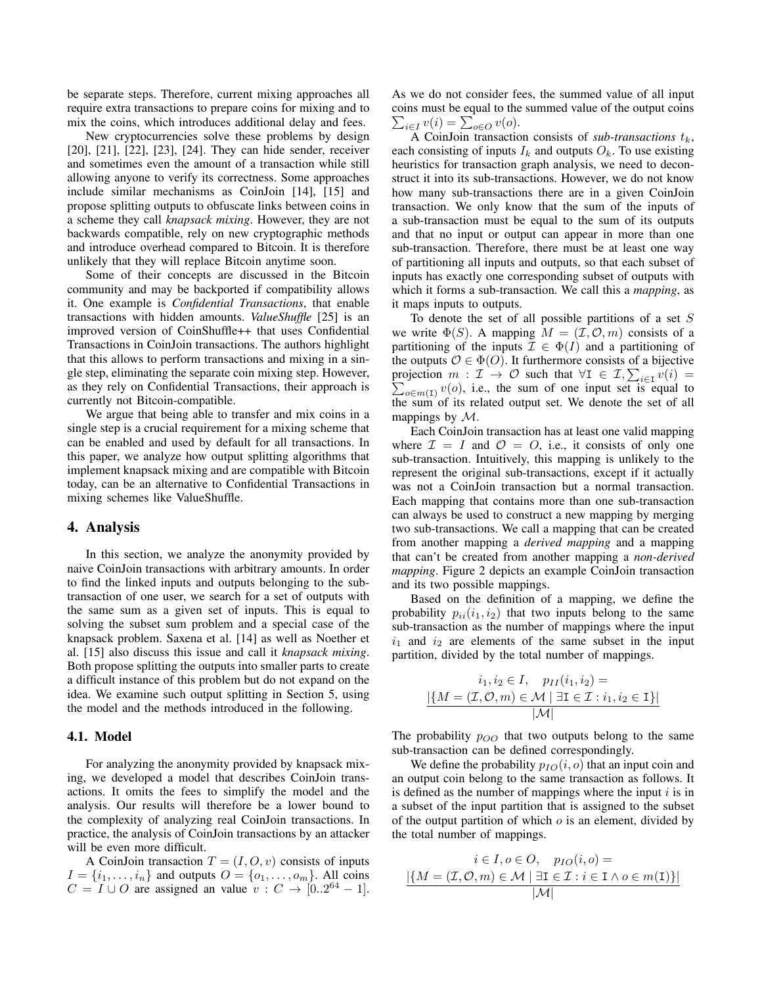be separate steps. Therefore, current mixing approaches all require extra transactions to prepare coins for mixing and to mix the coins, which introduces additional delay and fees.

New cryptocurrencies solve these problems by design [20], [21], [22], [23], [24]. They can hide sender, receiver and sometimes even the amount of a transaction while still allowing anyone to verify its correctness. Some approaches include similar mechanisms as CoinJoin [14], [15] and propose splitting outputs to obfuscate links between coins in a scheme they call *knapsack mixing*. However, they are not backwards compatible, rely on new cryptographic methods and introduce overhead compared to Bitcoin. It is therefore unlikely that they will replace Bitcoin anytime soon.

Some of their concepts are discussed in the Bitcoin community and may be backported if compatibility allows it. One example is *Confidential Transactions*, that enable transactions with hidden amounts. *ValueShuffle* [25] is an improved version of CoinShuffle++ that uses Confidential Transactions in CoinJoin transactions. The authors highlight that this allows to perform transactions and mixing in a single step, eliminating the separate coin mixing step. However, as they rely on Confidential Transactions, their approach is currently not Bitcoin-compatible.

We argue that being able to transfer and mix coins in a single step is a crucial requirement for a mixing scheme that can be enabled and used by default for all transactions. In this paper, we analyze how output splitting algorithms that implement knapsack mixing and are compatible with Bitcoin today, can be an alternative to Confidential Transactions in mixing schemes like ValueShuffle.

### 4. Analysis

In this section, we analyze the anonymity provided by naive CoinJoin transactions with arbitrary amounts. In order to find the linked inputs and outputs belonging to the subtransaction of one user, we search for a set of outputs with the same sum as a given set of inputs. This is equal to solving the subset sum problem and a special case of the knapsack problem. Saxena et al. [14] as well as Noether et al. [15] also discuss this issue and call it *knapsack mixing*. Both propose splitting the outputs into smaller parts to create a difficult instance of this problem but do not expand on the idea. We examine such output splitting in Section 5, using the model and the methods introduced in the following.

### 4.1. Model

For analyzing the anonymity provided by knapsack mixing, we developed a model that describes CoinJoin transactions. It omits the fees to simplify the model and the analysis. Our results will therefore be a lower bound to the complexity of analyzing real CoinJoin transactions. In practice, the analysis of CoinJoin transactions by an attacker will be even more difficult.

A CoinJoin transaction  $T = (I, O, v)$  consists of inputs  $I = \{i_1, \ldots, i_n\}$  and outputs  $O = \{o_1, \ldots, o_m\}$ . All coins  $C = I \cup O$  are assigned an value  $v : C \rightarrow [0..2^{64} - 1].$  As we do not consider fees, the summed value of all input coins must be equal to the summed value of the output coins  $\sum_{i \in I} v(i) = \sum_{o \in O} v(o).$ 

A CoinJoin transaction consists of *sub-transactions tk*, each consisting of inputs  $I_k$  and outputs  $O_k$ . To use existing heuristics for transaction graph analysis, we need to deconstruct it into its sub-transactions. However, we do not know how many sub-transactions there are in a given CoinJoin transaction. We only know that the sum of the inputs of a sub-transaction must be equal to the sum of its outputs and that no input or output can appear in more than one sub-transaction. Therefore, there must be at least one way of partitioning all inputs and outputs, so that each subset of inputs has exactly one corresponding subset of outputs with which it forms a sub-transaction. We call this a *mapping*, as it maps inputs to outputs.

To denote the set of all possible partitions of a set *S* we write  $\Phi(S)$ . A mapping  $M = (\mathcal{I}, \mathcal{O}, m)$  consists of a partitioning of the inputs  $\mathcal{I} \in \Phi(I)$  and a partitioning of the outputs  $\mathcal{O} \in \Phi(O)$ . It furthermore consists of a bijective projection  $m: \mathcal{I} \to \mathcal{O}$  such that  $\forall I \in \mathcal{I}, \sum_{i \in I} v(i) =$  $\sum_{o \in m(1)} v(o)$ , i.e., the sum of one input set is equal to the sum of its related output set. We denote the set of all mappings by *M*.

Each CoinJoin transaction has at least one valid mapping where  $I = I$  and  $O = O$ , i.e., it consists of only one sub-transaction. Intuitively, this mapping is unlikely to the represent the original sub-transactions, except if it actually was not a CoinJoin transaction but a normal transaction. Each mapping that contains more than one sub-transaction can always be used to construct a new mapping by merging two sub-transactions. We call a mapping that can be created from another mapping a *derived mapping* and a mapping that can't be created from another mapping a *non-derived mapping*. Figure 2 depicts an example CoinJoin transaction and its two possible mappings.

Based on the definition of a mapping, we define the probability  $p_{ii}(i_1, i_2)$  that two inputs belong to the same sub-transaction as the number of mappings where the input  $i_1$  and  $i_2$  are elements of the same subset in the input partition, divided by the total number of mappings.

$$
i_1, i_2 \in I, \quad p_{II}(i_1, i_2) = \underbrace{| \{M = (\mathcal{I}, \mathcal{O}, m) \in \mathcal{M} \mid \exists \mathbf{I} \in \mathcal{I} : i_1, i_2 \in \mathbf{I} \} |}_{|\mathcal{M}|}
$$

The probability  $p_{OO}$  that two outputs belong to the same sub-transaction can be defined correspondingly.

We define the probability  $p_{IO}(i, o)$  that an input coin and an output coin belong to the same transaction as follows. It is defined as the number of mappings where the input *i* is in a subset of the input partition that is assigned to the subset of the output partition of which *o* is an element, divided by the total number of mappings.

$$
i \in I, o \in O, \quad p_{IO}(i, o) = \underbrace{|{M = (\mathcal{I}, \mathcal{O}, m) \in \mathcal{M} \mid \exists I \in \mathcal{I} : i \in I \land o \in m(I)}|}_{|\mathcal{M}|}
$$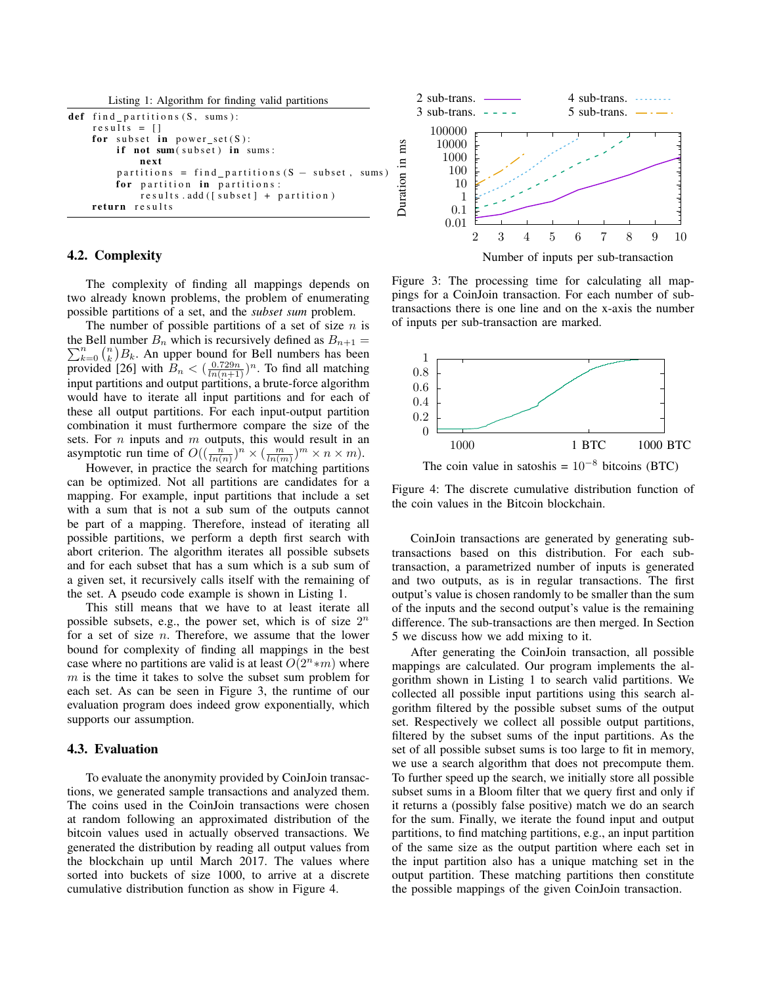Listing 1: Algorithm for finding valid partitions

| def $find$ partitions $(S, sums)$ :               |
|---------------------------------------------------|
| $results = []$                                    |
| for subset in power_set(S):                       |
| if not sum (subset) in sums:                      |
| next                                              |
| partitions = find partitions $(S - subset, sums)$ |
| for partition in partitions:                      |
| $results.add([subset] + partition)$               |
| return results                                    |
|                                                   |

### 4.2. Complexity

The complexity of finding all mappings depends on two already known problems, the problem of enumerating possible partitions of a set, and the *subset sum* problem.

The number of possible partitions of a set of size *n* is the Bell number  $B_n$  which is recursively defined as  $B_{n+1} =$  $\sum_{k=0}^{n} \binom{n}{k} B_k$ . An upper bound for Bell numbers has been provided [26] with  $B_n < (\frac{0.729n}{\ln(n+1)})^n$ . To find all matching input partitions and output partitions, a brute-force algorithm would have to iterate all input partitions and for each of these all output partitions. For each input-output partition combination it must furthermore compare the size of the sets. For *n* inputs and *m* outputs, this would result in an asymptotic run time of  $O((\frac{n}{\ln(n)})^n \times (\frac{m}{\ln(m)})^m \times n \times m)$ .

However, in practice the search for matching partitions can be optimized. Not all partitions are candidates for a mapping. For example, input partitions that include a set with a sum that is not a sub sum of the outputs cannot be part of a mapping. Therefore, instead of iterating all possible partitions, we perform a depth first search with abort criterion. The algorithm iterates all possible subsets and for each subset that has a sum which is a sub sum of a given set, it recursively calls itself with the remaining of the set. A pseudo code example is shown in Listing 1.

This still means that we have to at least iterate all possible subsets, e.g., the power set, which is of size  $2^n$ for a set of size *n*. Therefore, we assume that the lower bound for complexity of finding all mappings in the best case where no partitions are valid is at least  $O(2^n * m)$  where *m* is the time it takes to solve the subset sum problem for each set. As can be seen in Figure 3, the runtime of our evaluation program does indeed grow exponentially, which supports our assumption.

### 4.3. Evaluation

To evaluate the anonymity provided by CoinJoin transactions, we generated sample transactions and analyzed them. The coins used in the CoinJoin transactions were chosen at random following an approximated distribution of the bitcoin values used in actually observed transactions. We generated the distribution by reading all output values from the blockchain up until March 2017. The values where sorted into buckets of size 1000, to arrive at a discrete cumulative distribution function as show in Figure 4.



Figure 3: The processing time for calculating all mappings for a CoinJoin transaction. For each number of subtransactions there is one line and on the x-axis the number of inputs per sub-transaction are marked.



Figure 4: The discrete cumulative distribution function of the coin values in the Bitcoin blockchain.

CoinJoin transactions are generated by generating subtransactions based on this distribution. For each subtransaction, a parametrized number of inputs is generated and two outputs, as is in regular transactions. The first output's value is chosen randomly to be smaller than the sum of the inputs and the second output's value is the remaining difference. The sub-transactions are then merged. In Section 5 we discuss how we add mixing to it.

After generating the CoinJoin transaction, all possible mappings are calculated. Our program implements the algorithm shown in Listing 1 to search valid partitions. We collected all possible input partitions using this search algorithm filtered by the possible subset sums of the output set. Respectively we collect all possible output partitions, filtered by the subset sums of the input partitions. As the set of all possible subset sums is too large to fit in memory, we use a search algorithm that does not precompute them. To further speed up the search, we initially store all possible subset sums in a Bloom filter that we query first and only if it returns a (possibly false positive) match we do an search for the sum. Finally, we iterate the found input and output partitions, to find matching partitions, e.g., an input partition of the same size as the output partition where each set in the input partition also has a unique matching set in the output partition. These matching partitions then constitute the possible mappings of the given CoinJoin transaction.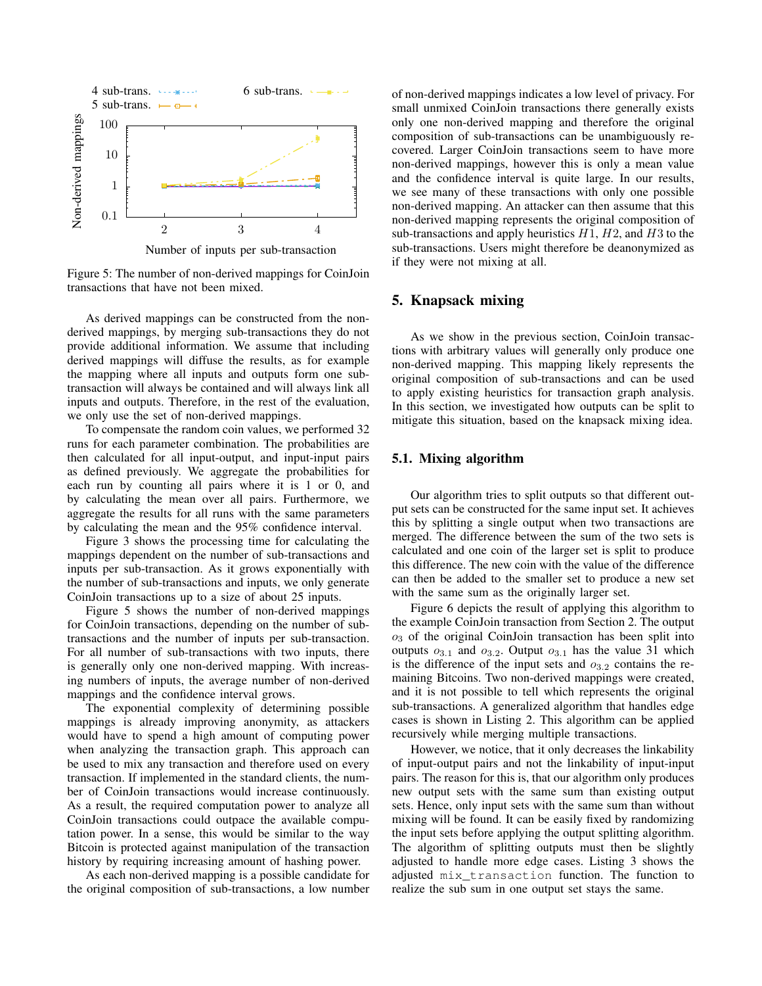

Number of inputs per sub-transaction

Figure 5: The number of non-derived mappings for CoinJoin transactions that have not been mixed.

As derived mappings can be constructed from the nonderived mappings, by merging sub-transactions they do not provide additional information. We assume that including derived mappings will diffuse the results, as for example the mapping where all inputs and outputs form one subtransaction will always be contained and will always link all inputs and outputs. Therefore, in the rest of the evaluation, we only use the set of non-derived mappings.

To compensate the random coin values, we performed 32 runs for each parameter combination. The probabilities are then calculated for all input-output, and input-input pairs as defined previously. We aggregate the probabilities for each run by counting all pairs where it is 1 or 0, and by calculating the mean over all pairs. Furthermore, we aggregate the results for all runs with the same parameters by calculating the mean and the 95% confidence interval.

Figure 3 shows the processing time for calculating the mappings dependent on the number of sub-transactions and inputs per sub-transaction. As it grows exponentially with the number of sub-transactions and inputs, we only generate CoinJoin transactions up to a size of about 25 inputs.

Figure 5 shows the number of non-derived mappings for CoinJoin transactions, depending on the number of subtransactions and the number of inputs per sub-transaction. For all number of sub-transactions with two inputs, there is generally only one non-derived mapping. With increasing numbers of inputs, the average number of non-derived mappings and the confidence interval grows.

The exponential complexity of determining possible mappings is already improving anonymity, as attackers would have to spend a high amount of computing power when analyzing the transaction graph. This approach can be used to mix any transaction and therefore used on every transaction. If implemented in the standard clients, the number of CoinJoin transactions would increase continuously. As a result, the required computation power to analyze all CoinJoin transactions could outpace the available computation power. In a sense, this would be similar to the way Bitcoin is protected against manipulation of the transaction history by requiring increasing amount of hashing power.

As each non-derived mapping is a possible candidate for the original composition of sub-transactions, a low number of non-derived mappings indicates a low level of privacy. For small unmixed CoinJoin transactions there generally exists only one non-derived mapping and therefore the original composition of sub-transactions can be unambiguously recovered. Larger CoinJoin transactions seem to have more non-derived mappings, however this is only a mean value and the confidence interval is quite large. In our results, we see many of these transactions with only one possible non-derived mapping. An attacker can then assume that this non-derived mapping represents the original composition of sub-transactions and apply heuristics *H*1, *H*2, and *H*3 to the sub-transactions. Users might therefore be deanonymized as if they were not mixing at all.

## 5. Knapsack mixing

As we show in the previous section, CoinJoin transactions with arbitrary values will generally only produce one non-derived mapping. This mapping likely represents the original composition of sub-transactions and can be used to apply existing heuristics for transaction graph analysis. In this section, we investigated how outputs can be split to mitigate this situation, based on the knapsack mixing idea.

### 5.1. Mixing algorithm

Our algorithm tries to split outputs so that different output sets can be constructed for the same input set. It achieves this by splitting a single output when two transactions are merged. The difference between the sum of the two sets is calculated and one coin of the larger set is split to produce this difference. The new coin with the value of the difference can then be added to the smaller set to produce a new set with the same sum as the originally larger set.

Figure 6 depicts the result of applying this algorithm to the example CoinJoin transaction from Section 2. The output *o*<sup>3</sup> of the original CoinJoin transaction has been split into outputs  $o_{3,1}$  and  $o_{3,2}$ . Output  $o_{3,1}$  has the value 31 which is the difference of the input sets and  $o_{3,2}$  contains the remaining Bitcoins. Two non-derived mappings were created, and it is not possible to tell which represents the original sub-transactions. A generalized algorithm that handles edge cases is shown in Listing 2. This algorithm can be applied recursively while merging multiple transactions.

However, we notice, that it only decreases the linkability of input-output pairs and not the linkability of input-input pairs. The reason for this is, that our algorithm only produces new output sets with the same sum than existing output sets. Hence, only input sets with the same sum than without mixing will be found. It can be easily fixed by randomizing the input sets before applying the output splitting algorithm. The algorithm of splitting outputs must then be slightly adjusted to handle more edge cases. Listing 3 shows the adjusted mix\_transaction function. The function to realize the sub sum in one output set stays the same.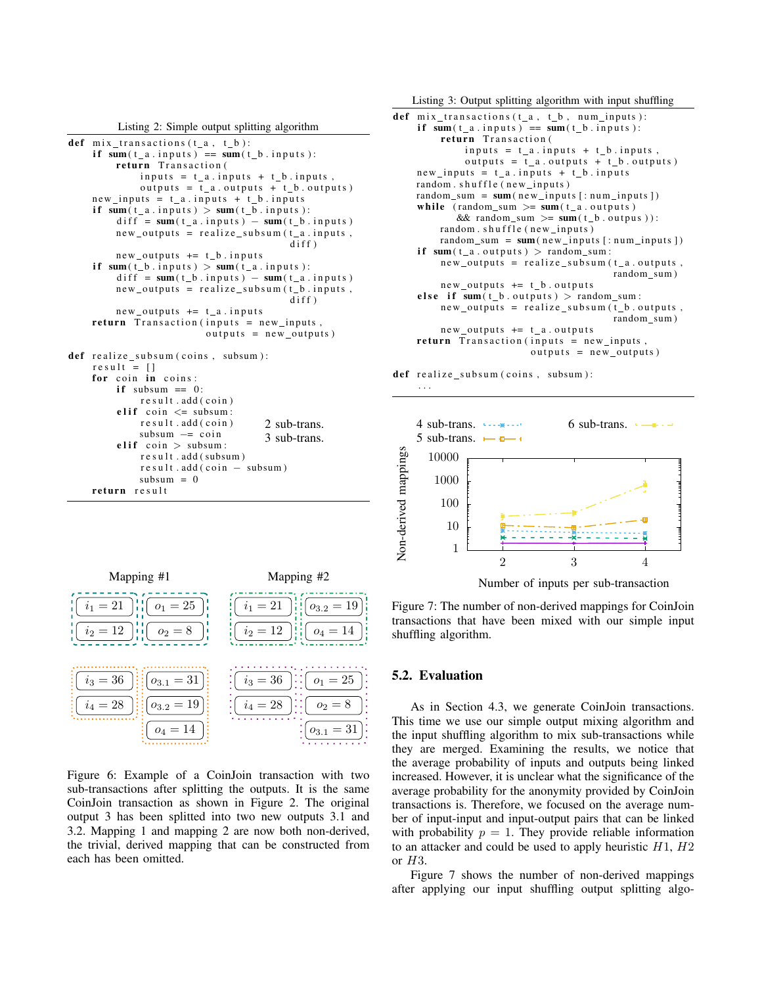Listing 2: Simple output splitting algorithm

```
def mix_transactions(t_a, t_b):
if sum(t_a.inputs) == sum(t_b.inputs):
     return Transaction (
         inputs = t_a.inputs + t_b.inputs,outputs = t_a. outputs + t_b. outputs)
new_{\text{inputs}} = t_a \text{. inputs} + t_b \text{. inputs}if sum(i_a) . inputs ) > sum(i_b) . inputs ):
     diff = sum(t_a.inputs) - sum(t_b.inputs)new_-outputs = realize_subsum(t_a.inputs,
                                       diff)
     new_outputs \leftarrow t_b. inputs
if sum(t_b \cdot input s) > sum(t_a \cdot input s):
     diff = sum(t_b.inputs) - sum(t_a.inputs)new_-outputs = realize_subsum (t_b). inputs,
                                       diff)
     new_outputs \leftarrow t_a. inputs
return Transaction (inputs = new inputs,outputs = new_outputs)def realize_subsum (coins, subsum):
result = []for coin in coins:
     if subsum == 0:
         r e sult.add (coin)
     elif coin \leq subsum:
         r e sult.add (coin)
         subsum <sup>−</sup> − coin
     elif coin > subsum:
         r e sult. add (subsum)
         r e s u l t . add ( c o in - subsum )
         subsum = 0return result
                                  2 sub-trans.
                                  3 sub-trans.
```
Listing 3: Output splitting algorithm with input shuffling





. . .





Figure 6: Example of a CoinJoin transaction with two sub-transactions after splitting the outputs. It is the same CoinJoin transaction as shown in Figure 2. The original output 3 has been splitted into two new outputs 3.1 and 3.2. Mapping 1 and mapping 2 are now both non-derived, the trivial, derived mapping that can be constructed from each has been omitted.

Number of inputs per sub-transaction

Figure 7: The number of non-derived mappings for CoinJoin transactions that have been mixed with our simple input shuffling algorithm.

#### 5.2. Evaluation

As in Section 4.3, we generate CoinJoin transactions. This time we use our simple output mixing algorithm and the input shuffling algorithm to mix sub-transactions while they are merged. Examining the results, we notice that the average probability of inputs and outputs being linked increased. However, it is unclear what the significance of the average probability for the anonymity provided by CoinJoin transactions is. Therefore, we focused on the average number of input-input and input-output pairs that can be linked with probability  $p = 1$ . They provide reliable information to an attacker and could be used to apply heuristic *H*1, *H*2 or *H*3.

Figure 7 shows the number of non-derived mappings after applying our input shuffling output splitting algo-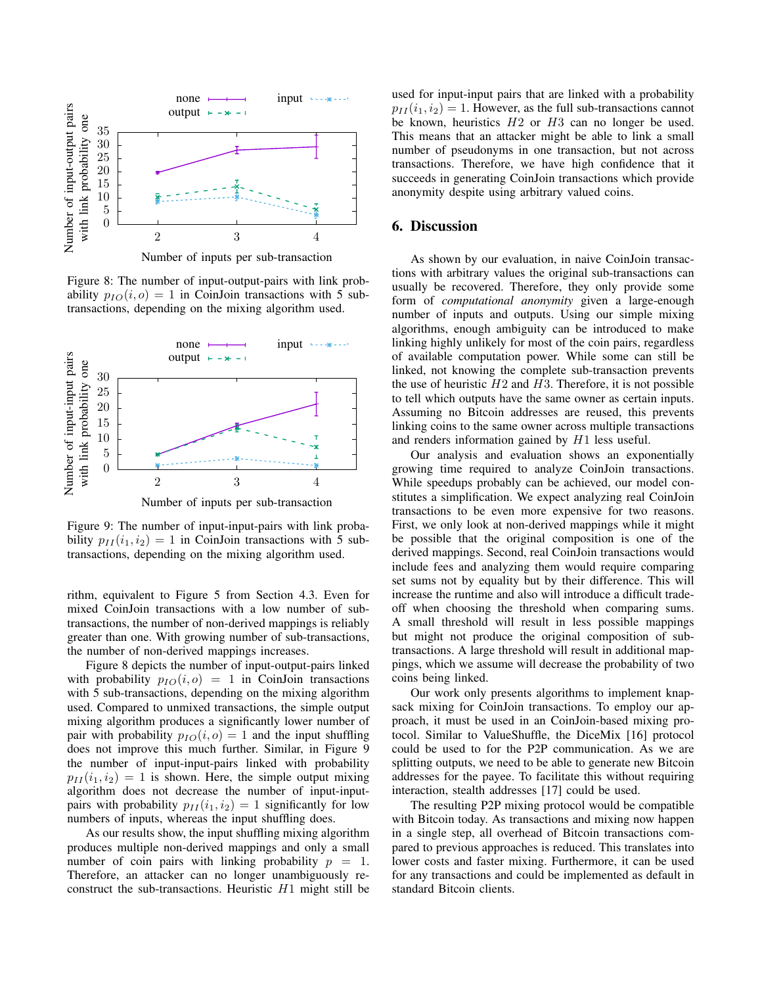

Number of inputs per sub-transaction

Figure 8: The number of input-output-pairs with link probability  $p_{IO}(i, o) = 1$  in CoinJoin transactions with 5 subtransactions, depending on the mixing algorithm used.



Figure 9: The number of input-input-pairs with link probability  $p_{II}(i_1, i_2) = 1$  in CoinJoin transactions with 5 subtransactions, depending on the mixing algorithm used.

rithm, equivalent to Figure 5 from Section 4.3. Even for mixed CoinJoin transactions with a low number of subtransactions, the number of non-derived mappings is reliably greater than one. With growing number of sub-transactions, the number of non-derived mappings increases.

Figure 8 depicts the number of input-output-pairs linked with probability  $p_{IO}(i, o) = 1$  in CoinJoin transactions with 5 sub-transactions, depending on the mixing algorithm used. Compared to unmixed transactions, the simple output mixing algorithm produces a significantly lower number of pair with probability  $p_{IO}(i, o) = 1$  and the input shuffling does not improve this much further. Similar, in Figure 9 the number of input-input-pairs linked with probability  $p_{II}(i_1, i_2) = 1$  is shown. Here, the simple output mixing algorithm does not decrease the number of input-inputpairs with probability  $p_{II}(i_1, i_2) = 1$  significantly for low numbers of inputs, whereas the input shuffling does.

As our results show, the input shuffling mixing algorithm produces multiple non-derived mappings and only a small number of coin pairs with linking probability  $p = 1$ . Therefore, an attacker can no longer unambiguously reconstruct the sub-transactions. Heuristic *H*1 might still be used for input-input pairs that are linked with a probability  $p_{II}(i_1, i_2) = 1$ . However, as the full sub-transactions cannot be known, heuristics *H*2 or *H*3 can no longer be used. This means that an attacker might be able to link a small number of pseudonyms in one transaction, but not across transactions. Therefore, we have high confidence that it succeeds in generating CoinJoin transactions which provide anonymity despite using arbitrary valued coins.

## 6. Discussion

As shown by our evaluation, in naive CoinJoin transactions with arbitrary values the original sub-transactions can usually be recovered. Therefore, they only provide some form of *computational anonymity* given a large-enough number of inputs and outputs. Using our simple mixing algorithms, enough ambiguity can be introduced to make linking highly unlikely for most of the coin pairs, regardless of available computation power. While some can still be linked, not knowing the complete sub-transaction prevents the use of heuristic *H*2 and *H*3. Therefore, it is not possible to tell which outputs have the same owner as certain inputs. Assuming no Bitcoin addresses are reused, this prevents linking coins to the same owner across multiple transactions and renders information gained by *H*1 less useful.

Our analysis and evaluation shows an exponentially growing time required to analyze CoinJoin transactions. While speedups probably can be achieved, our model constitutes a simplification. We expect analyzing real CoinJoin transactions to be even more expensive for two reasons. First, we only look at non-derived mappings while it might be possible that the original composition is one of the derived mappings. Second, real CoinJoin transactions would include fees and analyzing them would require comparing set sums not by equality but by their difference. This will increase the runtime and also will introduce a difficult tradeoff when choosing the threshold when comparing sums. A small threshold will result in less possible mappings but might not produce the original composition of subtransactions. A large threshold will result in additional mappings, which we assume will decrease the probability of two coins being linked.

Our work only presents algorithms to implement knapsack mixing for CoinJoin transactions. To employ our approach, it must be used in an CoinJoin-based mixing protocol. Similar to ValueShuffle, the DiceMix [16] protocol could be used to for the P2P communication. As we are splitting outputs, we need to be able to generate new Bitcoin addresses for the payee. To facilitate this without requiring interaction, stealth addresses [17] could be used.

The resulting P2P mixing protocol would be compatible with Bitcoin today. As transactions and mixing now happen in a single step, all overhead of Bitcoin transactions compared to previous approaches is reduced. This translates into lower costs and faster mixing. Furthermore, it can be used for any transactions and could be implemented as default in standard Bitcoin clients.